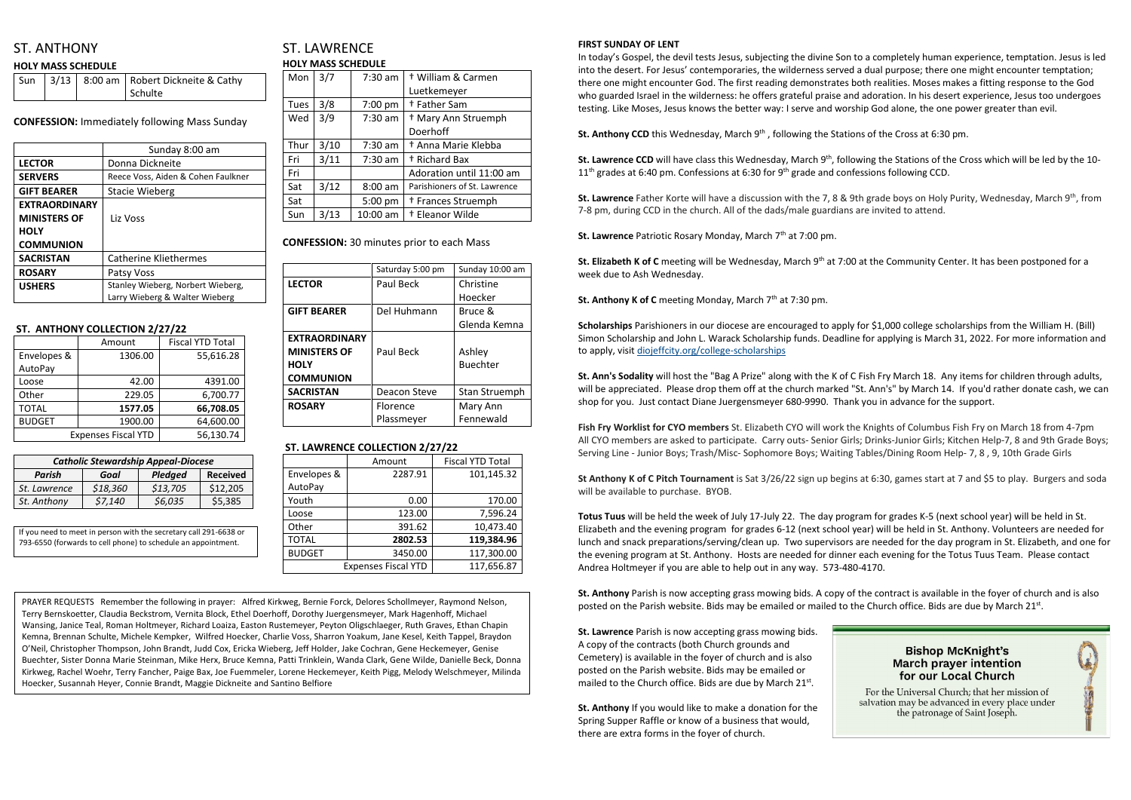# ST. ANTHONY

#### **HOLY MASS SCHEDULE**

|  | Sun   3/13   8:00 am   Robert Dickneite & Cathy |
|--|-------------------------------------------------|
|  | Schulte                                         |

**CONFESSION:** Immediately following Mass Sunday

|                      | Sunday 8:00 am                     |  |
|----------------------|------------------------------------|--|
| <b>LECTOR</b>        | Donna Dickneite                    |  |
| <b>SERVERS</b>       | Reece Voss, Aiden & Cohen Faulkner |  |
| <b>GIFT BEARER</b>   | Stacie Wieberg                     |  |
| <b>EXTRAORDINARY</b> |                                    |  |
| <b>MINISTERS OF</b>  | Liz Voss                           |  |
| <b>HOLY</b>          |                                    |  |
| <b>COMMUNION</b>     |                                    |  |
| <b>SACRISTAN</b>     | Catherine Kliethermes              |  |
| <b>ROSARY</b>        | Patsy Voss                         |  |
| <b>USHERS</b>        | Stanley Wieberg, Norbert Wieberg,  |  |
|                      | Larry Wieberg & Walter Wieberg     |  |

## ST. LAWRENCE **HOLY MASS SCHEDULE**

#### **ST. ANTHONY COLLECTION 2/27/22**

|               | Amount                     | <b>Fiscal YTD Total</b> |
|---------------|----------------------------|-------------------------|
| Envelopes &   | 1306.00                    | 55,616.28               |
| AutoPay       |                            |                         |
| Loose         | 42.00                      | 4391.00                 |
| Other         | 229.05                     | 6,700.77                |
| <b>TOTAL</b>  | 1577.05                    | 66,708.05               |
| <b>BUDGET</b> | 1900.00                    | 64,600.00               |
|               | <b>Expenses Fiscal YTD</b> | 56,130.74               |

| Mon         | 3/7  | $7:30$ am | + William & Carmen             |
|-------------|------|-----------|--------------------------------|
|             |      |           | Luetkemeyer                    |
| <b>Tues</b> | 3/8  | $7:00$ pm | <sup>+</sup> Father Sam        |
| Wed         | 3/9  | $7:30$ am | <sup>†</sup> Mary Ann Struemph |
|             |      |           | Doerhoff                       |
| Thur        | 3/10 | $7:30$ am | <sup>†</sup> Anna Marie Klebba |
| Fri         | 3/11 | $7:30$ am | <sup>+</sup> Richard Bax       |
| Fri         |      |           | Adoration until 11:00 am       |
| Sat         | 3/12 | $8:00$ am | Parishioners of St. Lawrence   |
| Sat         |      | 5:00 pm   | <sup>†</sup> Frances Struemph  |
| Sun         | 3/13 | 10:00 am  | <sup>+</sup> Eleanor Wilde     |

**CONFESSION:** 30 minutes prior to each Mass

|                      | Saturday 5:00 pm | Sunday 10:00 am |
|----------------------|------------------|-----------------|
| <b>LECTOR</b>        | Paul Beck        | Christine       |
|                      |                  | Hoecker         |
| <b>GIFT BEARER</b>   | Del Huhmann      | Bruce &         |
|                      |                  | Glenda Kemna    |
| <b>EXTRAORDINARY</b> |                  |                 |
| <b>MINISTERS OF</b>  | Paul Beck        | Ashley          |
| <b>HOLY</b>          |                  | <b>Buechter</b> |
| <b>COMMUNION</b>     |                  |                 |
| <b>SACRISTAN</b>     | Deacon Steve     | Stan Struemph   |
| <b>ROSARY</b>        | <b>Florence</b>  | Mary Ann        |
|                      | Plassmeyer       | Fennewald       |

### **ST. LAWRENCE COLLECTION 2/27/22**

St. Lawrence Father Korte will have a discussion with the 7, 8 & 9th grade boys on Holy Purity, Wednesday, March 9<sup>th</sup>, from 7-8 pm, during CCD in the church. All of the dads/male guardians are invited to attend.

**St. Lawrence Patriotic Rosary Monday, March 7th at 7:00 pm.** 

|               | Amount                     | <b>Fiscal YTD Total</b> |
|---------------|----------------------------|-------------------------|
| Envelopes &   | 2287.91                    | 101,145.32              |
| AutoPay       |                            |                         |
| Youth         | 0.00                       | 170.00                  |
| Loose         | 123.00                     | 7,596.24                |
| Other         | 391.62                     | 10,473.40               |
| <b>TOTAL</b>  | 2802.53                    | 119,384.96              |
| <b>BUDGET</b> | 3450.00                    | 117,300.00              |
|               | <b>Expenses Fiscal YTD</b> | 117,656.87              |

#### **FIRST SUNDAY OF LENT**

In today's Gospel, the devil tests Jesus, subjecting the divine Son to a completely human experience, temptation. Jesus is led into the desert. For Jesus' contemporaries, the wilderness served a dual purpose; there one might encounter temptation; there one might encounter God. The first reading demonstrates both realities. Moses makes a fitting response to the God who guarded Israel in the wilderness: he offers grateful praise and adoration. In his desert experience, Jesus too undergoes testing. Like Moses, Jesus knows the better way: I serve and worship God alone, the one power greater than evil.

**St. Anthony CCD** this Wednesday, March 9<sup>th</sup>, following the Stations of the Cross at 6:30 pm.

St. Lawrence CCD will have class this Wednesday, March 9<sup>th</sup>, following the Stations of the Cross which will be led by the 10- $11<sup>th</sup>$  grades at 6:40 pm. Confessions at 6:30 for 9<sup>th</sup> grade and confessions following CCD.

**St. Anthony** Parish is now accepting grass mowing bids. A copy of the contract is available in the foyer of church and is also posted on the Parish website. Bids may be emailed or mailed to the Church office. Bids are due by March 21st.

**St. Lawrence** Parish is now accepting grass mowing bids. A copy of the contracts (both Church grounds and Cemetery) is available in the foyer of church and is also posted on the Parish website. Bids may be emailed or mailed to the Church office. Bids are due by March 21st.

**St. Elizabeth K of C** meeting will be Wednesday, March 9th at 7:00 at the Community Center. It has been postponed for a week due to Ash Wednesday.

**St. Anthony K of C** meeting Monday, March 7<sup>th</sup> at 7:30 pm.

**Scholarships** Parishioners in our diocese are encouraged to apply for \$1,000 college scholarships from the William H. (Bill) Simon Scholarship and John L. Warack Scholarship funds. Deadline for applying is March 31, 2022. For more information and to apply, visit [diojeffcity.org/college-scholarships](https://diojeffcity.org/college-scholarships/)

**St. Ann's Sodality** will host the "Bag A Prize" along with the K of C Fish Fry March 18. Any items for children through adults, will be appreciated. Please drop them off at the church marked "St. Ann's" by March 14. If you'd rather donate cash, we can shop for you. Just contact Diane Juergensmeyer 680-9990. Thank you in advance for the support.

**Fish Fry Worklist for CYO members** St. Elizabeth CYO will work the Knights of Columbus Fish Fry on March 18 from 4-7pm All CYO members are asked to participate. Carry outs- Senior Girls; Drinks-Junior Girls; Kitchen Help-7, 8 and 9th Grade Boys; Serving Line - Junior Boys; Trash/Misc- Sophomore Boys; Waiting Tables/Dining Room Help- 7, 8 , 9, 10th Grade Girls

**St Anthony K of C Pitch Tournament** is Sat 3/26/22 sign up begins at 6:30, games start at 7 and \$5 to play. Burgers and soda will be available to purchase. BYOB.

**Totus Tuus** will be held the week of July 17-July 22. The day program for grades K-5 (next school year) will be held in St. Elizabeth and the evening program for grades 6-12 (next school year) will be held in St. Anthony. Volunteers are needed for lunch and snack preparations/serving/clean up. Two supervisors are needed for the day program in St. Elizabeth, and one for the evening program at St. Anthony. Hosts are needed for dinner each evening for the Totus Tuus Team. Please contact Andrea Holtmeyer if you are able to help out in any way. 573-480-4170.

**St. Anthony** If you would like to make a donation for the Spring Supper Raffle or know of a business that would, there are extra forms in the foyer of church.

### **Bishop McKnight's March prayer intention** for our Local Church

For the Universal Church; that her mission of salvation may be advanced in every place under the patronage of Saint Joseph.



| <b>Catholic Stewardship Appeal-Diocese</b>   |          |          |          |  |  |
|----------------------------------------------|----------|----------|----------|--|--|
| <b>Received</b><br>Parish<br>Pledged<br>Goal |          |          |          |  |  |
| St. Lawrence                                 | \$18,360 | \$13,705 | \$12,205 |  |  |
| St. Anthony                                  | \$7,140  | \$6,035  | \$5,385  |  |  |

| If you need to meet in person with the secretary call 291-6638 or |  |
|-------------------------------------------------------------------|--|
| 793-6550 (forwards to cell phone) to schedule an appointment.     |  |

PRAYER REQUESTS Remember the following in prayer: Alfred Kirkweg, Bernie Forck, Delores Schollmeyer, Raymond Nelson, Terry Bernskoetter, Claudia Beckstrom, Vernita Block, Ethel Doerhoff, Dorothy Juergensmeyer, Mark Hagenhoff, Michael Wansing, Janice Teal, Roman Holtmeyer, Richard Loaiza, Easton Rustemeyer, Peyton Oligschlaeger, Ruth Graves, Ethan Chapin Kemna, Brennan Schulte, Michele Kempker, Wilfred Hoecker, Charlie Voss, Sharron Yoakum, Jane Kesel, Keith Tappel, Braydon O'Neil, Christopher Thompson, John Brandt, Judd Cox, Ericka Wieberg, Jeff Holder, Jake Cochran, Gene Heckemeyer, Genise Buechter, Sister Donna Marie Steinman, Mike Herx, Bruce Kemna, Patti Trinklein, Wanda Clark, Gene Wilde, Danielle Beck, Donna Kirkweg, Rachel Woehr, Terry Fancher, Paige Bax, Joe Fuemmeler, Lorene Heckemeyer, Keith Pigg, Melody Welschmeyer, Milinda Hoecker, Susannah Heyer, Connie Brandt, Maggie Dickneite and Santino Belfiore